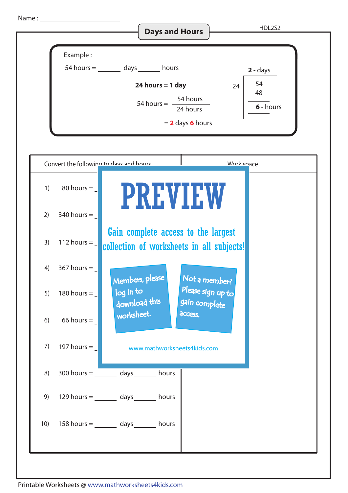Name :